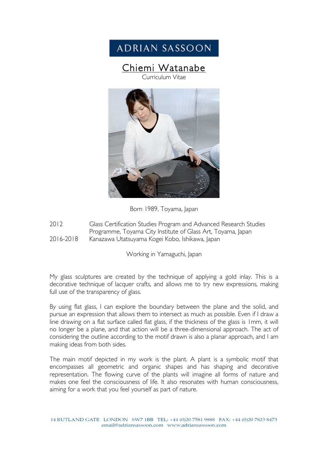## **ADRIAN SASSOON**

# Chiemi Watanabe



Born 1989, Toyama, Japan

2012 Glass Certification Studies Program and Advanced Research Studies Programme, Toyama City Institute of Glass Art, Toyama, Japan 2016-2018 Kanazawa Utatsuyama Kogei Kobo, Ishikawa, Japan

Working in Yamaguchi, Japan

My glass sculptures are created by the technique of applying a gold inlay. This is a decorative technique of lacquer crafts, and allows me to try new expressions, making full use of the transparency of glass.

By using flat glass, I can explore the boundary between the plane and the solid, and pursue an expression that allows them to intersect as much as possible. Even if I draw a line drawing on a flat surface called flat glass, if the thickness of the glass is 1mm, it will no longer be a plane, and that action will be a three-dimensional approach. The act of considering the outline according to the motif drawn is also a planar approach, and I am making ideas from both sides.

The main motif depicted in my work is the plant. A plant is a symbolic motif that encompasses all geometric and organic shapes and has shaping and decorative representation. The flowing curve of the plants will imagine all forms of nature and makes one feel the consciousness of life. It also resonates with human consciousness, aiming for a work that you feel yourself as part of nature.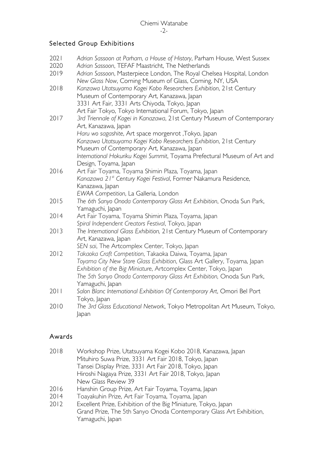### Selected Group Exhibitions

- 2021 *Adrian Sassoon at Parham, a House of History*, Parham House, West Sussex
- 2020 *Adrian Sassoon*, TEFAF Maastricht, The Netherlands
- 2019 *Adrian Sassoon*, Masterpiece London, The Royal Chelsea Hospital, London *New Glass Now*, Corning Museum of Glass, Corning, NY, USA
- 2018 *Kanzawa Utatsuyama Kogei Kobo Researchers Exhibition*, 21st Century Museum of Contemporary Art, Kanazawa, Japan 3331 Art Fair, 3331 Arts Chiyoda, Tokyo, Japan Art Fair Tokyo, Tokyo International Forum, Tokyo, Japan
- 2017 *3rd Triennale of Kogei in Kanazawa*, 21st Century Museum of Contemporary Art, Kanazawa, Japan *Haru wo sagashite*, Art space morgenrot ,Tokyo, Japan *Kanzawa Utatsuyama Kogei Kobo Researchers Exhibition*, 21st Century Museum of Contemporary Art, Kanazawa, Japan *International Hokuriku Kogei Summit*, Toyama Prefectural Museum of Art and Design, Toyama, Japan
- 2016 Art Fair Toyama, Toyama Shimin Plaza, Toyama, Japan *Kanazawa 21st Century Kogei Festival*, Former Nakamura Residence, Kanazawa, Japan *EWAA Competition*, La Galleria, London
- 2015 *The 6th Sanyo Onoda Contemporary Glass Art Exhibition*, Onoda Sun Park, Yamaguchi, Japan
- 2014 Art Fair Toyama, Toyama Shimin Plaza, Toyama, Japan *Spiral Independent Creators Festival*, Tokyo, Japan
- 2013 *The International Glass Exhibition,* 21st Century Museum of Contemporary Art, Kanazawa, Japan
	- *SEN sai*, The Artcomplex Center, Tokyo, Japan
- 2012 *Takaoka Craft Competition*, Takaoka Daiwa, Toyama, Japan *Toyama City New Store Glass Exhibition*, Glass Art Gallery, Toyama, Japan *Exhibition of the Big Miniature*, Artcomplex Center, Tokyo, Japan *The 5th Sanyo Onoda Contemporary Glass Art Exhibition,* Onoda Sun Park, Yamaguchi, Japan
- 2011 *Salon Blanc International Exhibition Of Contemporary Art*, Omori Bel Port Tokyo, Japan
- 2010 *The 3rd Glass Educational Network*, Tokyo Metropolitan Art Museum, Tokyo, Japan

### Awards

- 2018 Workshop Prize, Utatsuyama Kogei Kobo 2018, Kanazawa, Japan Mituhiro Suwa Prize, 3331 Art Fair 2018, Tokyo, Japan Tansei Display Prize, 3331 Art Fair 2018, Tokyo, Japan Hiroshi Nagaya Prize, 3331 Art Fair 2018, Tokyo, Japan New Glass Review 39
- 2016 Hanshin Group Prize, Art Fair Toyama, Toyama, Japan
- 2014 Toayakuhin Prize, Art Fair Toyama, Toyama, Japan
- 2012 Excellent Prize, Exhibition of the Big Miniature, Tokyo, Japan Grand Prize, The 5th Sanyo Onoda Contemporary Glass Art Exhibition, Yamaguchi, Japan